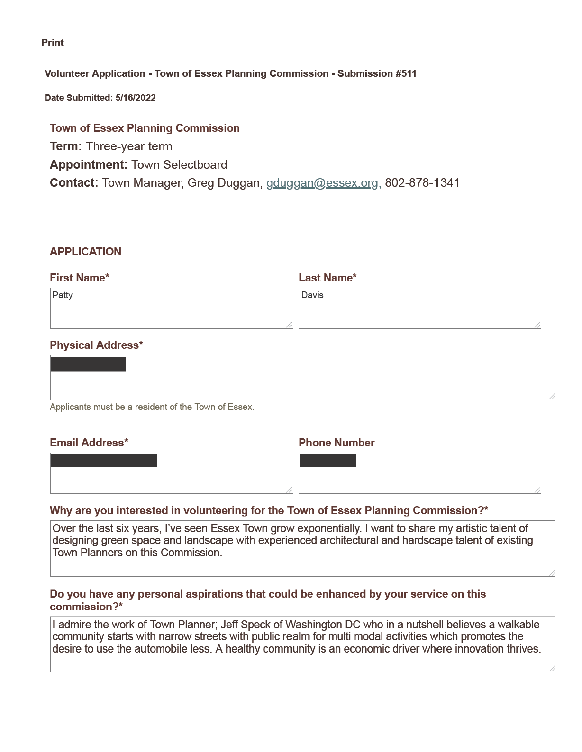**Print** 

#### Volunteer Application - Town of Essex Planning Commission - Submission #511

Date Submitted: 5/16/2022

## **Town of Essex Planning Commission Term: Three-year term Appointment: Town Selectboard** Contact: Town Manager, Greg Duggan; gduggan@essex.org; 802-878-1341

#### **APPLICATION**

| <b>First Name*</b> | <b>Last Name*</b> |  |
|--------------------|-------------------|--|
| Patty              | Davis             |  |
|                    |                   |  |
|                    |                   |  |

### **Physical Address\***

| Applicants must be a resident of the Town of Essex |  |  |
|----------------------------------------------------|--|--|

# **Email Address\***

**Phone Number** 

| --- |  |  |  |  |  |  |  |  |
|-----|--|--|--|--|--|--|--|--|
|     |  |  |  |  |  |  |  |  |
|     |  |  |  |  |  |  |  |  |

#### Why are you interested in volunteering for the Town of Essex Planning Commission?\*

Over the last six years, I've seen Essex Town grow exponentially. I want to share my artistic talent of designing green space and landscape with experienced architectural and hardscape talent of existing Town Planners on this Commission.

#### Do you have any personal aspirations that could be enhanced by your service on this commission?\*

I admire the work of Town Planner; Jeff Speck of Washington DC who in a nutshell believes a walkable community starts with narrow streets with public realm for multi modal activities which promotes the desire to use the automobile less. A healthy community is an economic driver where innovation thrives.